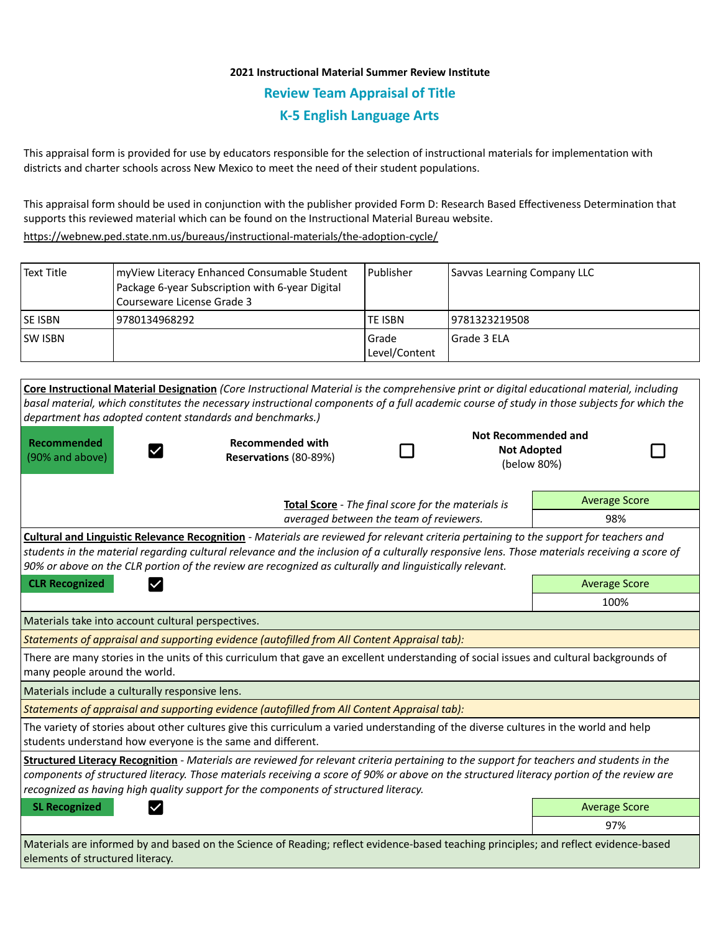# **2021 Instructional Material Summer Review Institute Review Team Appraisal of Title K-5 English Language Arts**

This appraisal form is provided for use by educators responsible for the selection of instructional materials for implementation with districts and charter schools across New Mexico to meet the need of their student populations.

This appraisal form should be used in conjunction with the publisher provided Form D: Research Based Effectiveness Determination that supports this reviewed material which can be found on the Instructional Material Bureau website.

<https://webnew.ped.state.nm.us/bureaus/instructional-materials/the-adoption-cycle/>

| Text Title | myView Literacy Enhanced Consumable Student<br>Package 6-year Subscription with 6-year Digital<br>Courseware License Grade 3 | l Publisher              | Savvas Learning Company LLC |
|------------|------------------------------------------------------------------------------------------------------------------------------|--------------------------|-----------------------------|
| lse isbn   | 9780134968292                                                                                                                | <b>TE ISBN</b>           | 19781323219508              |
| ISW ISBN   |                                                                                                                              | l Grade<br>Level/Content | l Grade 3 ELA               |

| Core Instructional Material Designation (Core Instructional Material is the comprehensive print or digital educational material, including<br>basal material, which constitutes the necessary instructional components of a full academic course of study in those subjects for which the<br>department has adopted content standards and benchmarks.)                                                     |                       |                      |                                                          |                      |  |  |  |  |
|------------------------------------------------------------------------------------------------------------------------------------------------------------------------------------------------------------------------------------------------------------------------------------------------------------------------------------------------------------------------------------------------------------|-----------------------|----------------------|----------------------------------------------------------|----------------------|--|--|--|--|
| <b>Recommended</b><br><b>Recommended with</b><br>(90% and above)                                                                                                                                                                                                                                                                                                                                           | Reservations (80-89%) |                      | Not Recommended and<br><b>Not Adopted</b><br>(below 80%) |                      |  |  |  |  |
| Total Score - The final score for the materials is<br>averaged between the team of reviewers.                                                                                                                                                                                                                                                                                                              |                       |                      |                                                          | <b>Average Score</b> |  |  |  |  |
|                                                                                                                                                                                                                                                                                                                                                                                                            |                       |                      |                                                          | 98%                  |  |  |  |  |
| <b>Cultural and Linguistic Relevance Recognition</b> - Materials are reviewed for relevant criteria pertaining to the support for teachers and<br>students in the material regarding cultural relevance and the inclusion of a culturally responsive lens. Those materials receiving a score of<br>90% or above on the CLR portion of the review are recognized as culturally and linguistically relevant. |                       |                      |                                                          |                      |  |  |  |  |
| <b>CLR Recognized</b>                                                                                                                                                                                                                                                                                                                                                                                      |                       |                      |                                                          | <b>Average Score</b> |  |  |  |  |
|                                                                                                                                                                                                                                                                                                                                                                                                            |                       | 100%                 |                                                          |                      |  |  |  |  |
| Materials take into account cultural perspectives.                                                                                                                                                                                                                                                                                                                                                         |                       |                      |                                                          |                      |  |  |  |  |
| Statements of appraisal and supporting evidence (autofilled from All Content Appraisal tab):                                                                                                                                                                                                                                                                                                               |                       |                      |                                                          |                      |  |  |  |  |
| There are many stories in the units of this curriculum that gave an excellent understanding of social issues and cultural backgrounds of<br>many people around the world.                                                                                                                                                                                                                                  |                       |                      |                                                          |                      |  |  |  |  |
| Materials include a culturally responsive lens.                                                                                                                                                                                                                                                                                                                                                            |                       |                      |                                                          |                      |  |  |  |  |
| Statements of appraisal and supporting evidence (autofilled from All Content Appraisal tab):                                                                                                                                                                                                                                                                                                               |                       |                      |                                                          |                      |  |  |  |  |
| The variety of stories about other cultures give this curriculum a varied understanding of the diverse cultures in the world and help<br>students understand how everyone is the same and different.                                                                                                                                                                                                       |                       |                      |                                                          |                      |  |  |  |  |
| Structured Literacy Recognition - Materials are reviewed for relevant criteria pertaining to the support for teachers and students in the<br>components of structured literacy. Those materials receiving a score of 90% or above on the structured literacy portion of the review are<br>recognized as having high quality support for the components of structured literacy.                             |                       |                      |                                                          |                      |  |  |  |  |
| <b>SL Recognized</b>                                                                                                                                                                                                                                                                                                                                                                                       |                       | <b>Average Score</b> |                                                          |                      |  |  |  |  |
|                                                                                                                                                                                                                                                                                                                                                                                                            |                       |                      |                                                          | 97%                  |  |  |  |  |
| Materials are informed by and based on the Science of Reading; reflect evidence-based teaching principles; and reflect evidence-based<br>elements of structured literacy.                                                                                                                                                                                                                                  |                       |                      |                                                          |                      |  |  |  |  |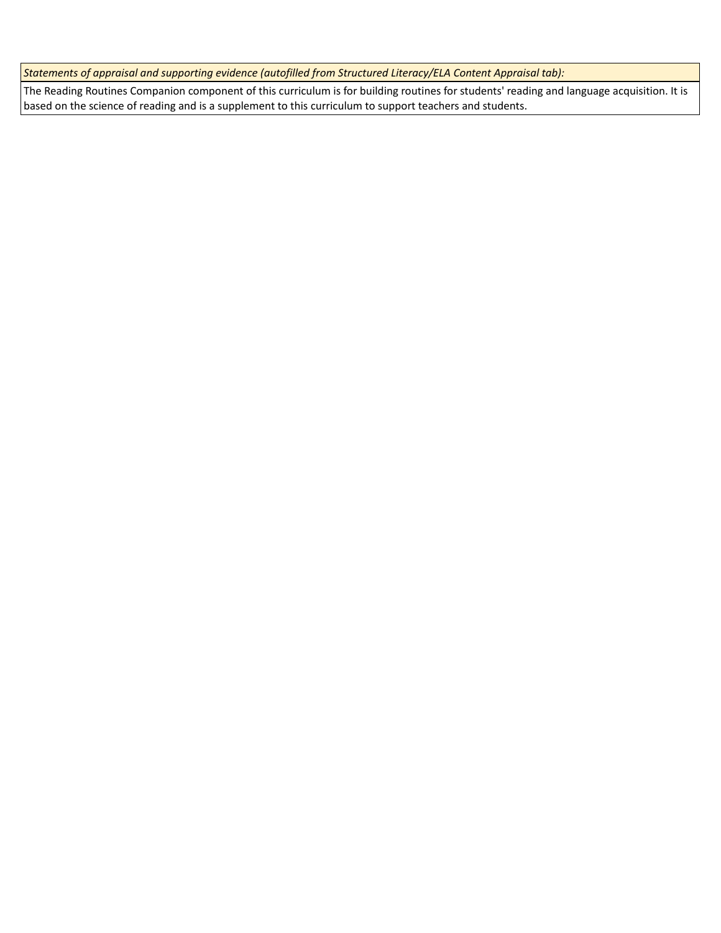*Statements of appraisal and supporting evidence (autofilled from Structured Literacy/ELA Content Appraisal tab):* 

The Reading Routines Companion component of this curriculum is for building routines for students' reading and language acquisition. It is based on the science of reading and is a supplement to this curriculum to support teachers and students.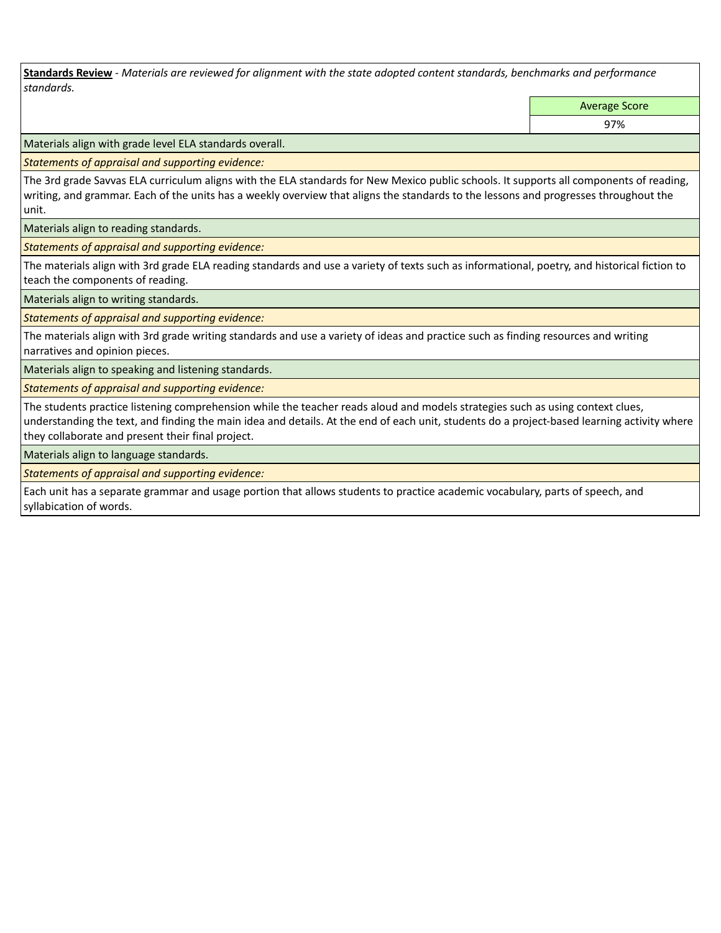**Standards Review** *- Materials are reviewed for alignment with the state adopted content standards, benchmarks and performance standards.*

Average Score

97%

Materials align with grade level ELA standards overall.

*Statements of appraisal and supporting evidence:* 

The 3rd grade Savvas ELA curriculum aligns with the ELA standards for New Mexico public schools. It supports all components of reading, writing, and grammar. Each of the units has a weekly overview that aligns the standards to the lessons and progresses throughout the unit.

Materials align to reading standards.

*Statements of appraisal and supporting evidence:* 

The materials align with 3rd grade ELA reading standards and use a variety of texts such as informational, poetry, and historical fiction to teach the components of reading.

Materials align to writing standards.

*Statements of appraisal and supporting evidence:* 

The materials align with 3rd grade writing standards and use a variety of ideas and practice such as finding resources and writing narratives and opinion pieces.

Materials align to speaking and listening standards.

*Statements of appraisal and supporting evidence:* 

The students practice listening comprehension while the teacher reads aloud and models strategies such as using context clues, understanding the text, and finding the main idea and details. At the end of each unit, students do a project-based learning activity where they collaborate and present their final project.

Materials align to language standards.

*Statements of appraisal and supporting evidence:* 

Each unit has a separate grammar and usage portion that allows students to practice academic vocabulary, parts of speech, and syllabication of words.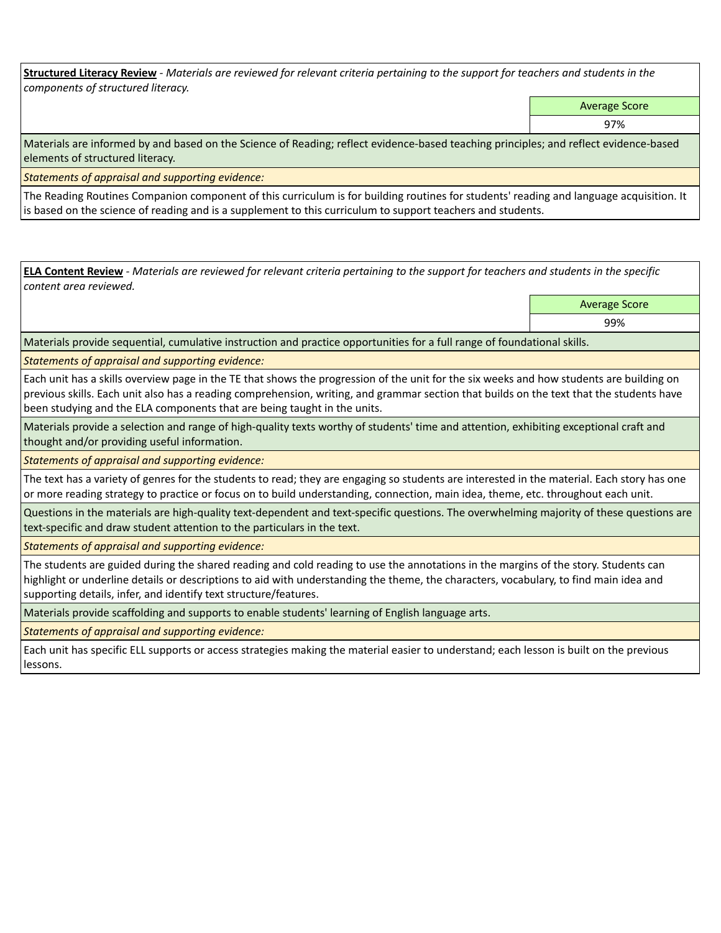**Structured Literacy Review** *- Materials are reviewed for relevant criteria pertaining to the support for teachers and students in the components of structured literacy.*

Average Score

97%

Materials are informed by and based on the Science of Reading; reflect evidence-based teaching principles; and reflect evidence-based elements of structured literacy.

*Statements of appraisal and supporting evidence:*

The Reading Routines Companion component of this curriculum is for building routines for students' reading and language acquisition. It is based on the science of reading and is a supplement to this curriculum to support teachers and students.

**ELA Content Review** *- Materials are reviewed for relevant criteria pertaining to the support for teachers and students in the specific content area reviewed.*

Average Score

99%

Materials provide sequential, cumulative instruction and practice opportunities for a full range of foundational skills.

*Statements of appraisal and supporting evidence:* 

Each unit has a skills overview page in the TE that shows the progression of the unit for the six weeks and how students are building on previous skills. Each unit also has a reading comprehension, writing, and grammar section that builds on the text that the students have been studying and the ELA components that are being taught in the units.

Materials provide a selection and range of high-quality texts worthy of students' time and attention, exhibiting exceptional craft and thought and/or providing useful information.

*Statements of appraisal and supporting evidence:* 

The text has a variety of genres for the students to read; they are engaging so students are interested in the material. Each story has one or more reading strategy to practice or focus on to build understanding, connection, main idea, theme, etc. throughout each unit.

Questions in the materials are high-quality text-dependent and text-specific questions. The overwhelming majority of these questions are text-specific and draw student attention to the particulars in the text.

*Statements of appraisal and supporting evidence:* 

The students are guided during the shared reading and cold reading to use the annotations in the margins of the story. Students can highlight or underline details or descriptions to aid with understanding the theme, the characters, vocabulary, to find main idea and supporting details, infer, and identify text structure/features.

Materials provide scaffolding and supports to enable students' learning of English language arts.

*Statements of appraisal and supporting evidence:* 

Each unit has specific ELL supports or access strategies making the material easier to understand; each lesson is built on the previous lessons.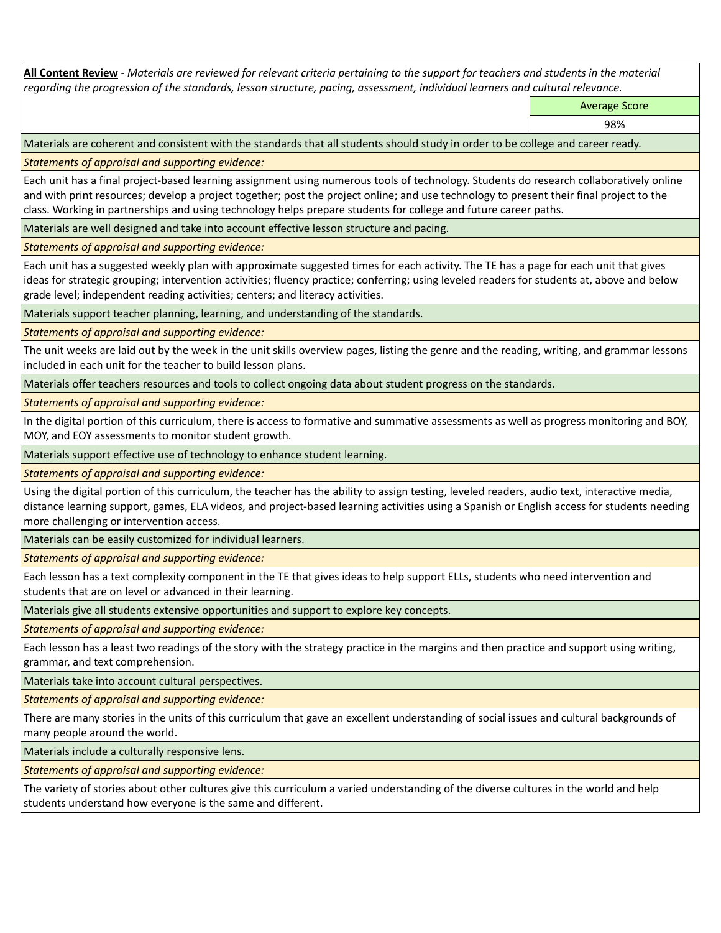**All Content Review** *- Materials are reviewed for relevant criteria pertaining to the support for teachers and students in the material regarding the progression of the standards, lesson structure, pacing, assessment, individual learners and cultural relevance.*

Average Score

98%

Materials are coherent and consistent with the standards that all students should study in order to be college and career ready.

*Statements of appraisal and supporting evidence:*

Each unit has a final project-based learning assignment using numerous tools of technology. Students do research collaboratively online and with print resources; develop a project together; post the project online; and use technology to present their final project to the class. Working in partnerships and using technology helps prepare students for college and future career paths.

Materials are well designed and take into account effective lesson structure and pacing.

*Statements of appraisal and supporting evidence:*

Each unit has a suggested weekly plan with approximate suggested times for each activity. The TE has a page for each unit that gives ideas for strategic grouping; intervention activities; fluency practice; conferring; using leveled readers for students at, above and below grade level; independent reading activities; centers; and literacy activities.

Materials support teacher planning, learning, and understanding of the standards.

*Statements of appraisal and supporting evidence:*

The unit weeks are laid out by the week in the unit skills overview pages, listing the genre and the reading, writing, and grammar lessons included in each unit for the teacher to build lesson plans.

Materials offer teachers resources and tools to collect ongoing data about student progress on the standards.

*Statements of appraisal and supporting evidence:*

In the digital portion of this curriculum, there is access to formative and summative assessments as well as progress monitoring and BOY, MOY, and EOY assessments to monitor student growth.

Materials support effective use of technology to enhance student learning.

*Statements of appraisal and supporting evidence:*

Using the digital portion of this curriculum, the teacher has the ability to assign testing, leveled readers, audio text, interactive media, distance learning support, games, ELA videos, and project-based learning activities using a Spanish or English access for students needing more challenging or intervention access.

Materials can be easily customized for individual learners.

*Statements of appraisal and supporting evidence:* 

Each lesson has a text complexity component in the TE that gives ideas to help support ELLs, students who need intervention and students that are on level or advanced in their learning.

Materials give all students extensive opportunities and support to explore key concepts.

*Statements of appraisal and supporting evidence:*

Each lesson has a least two readings of the story with the strategy practice in the margins and then practice and support using writing, grammar, and text comprehension.

Materials take into account cultural perspectives.

*Statements of appraisal and supporting evidence:*

There are many stories in the units of this curriculum that gave an excellent understanding of social issues and cultural backgrounds of many people around the world.

Materials include a culturally responsive lens.

*Statements of appraisal and supporting evidence:*

The variety of stories about other cultures give this curriculum a varied understanding of the diverse cultures in the world and help students understand how everyone is the same and different.